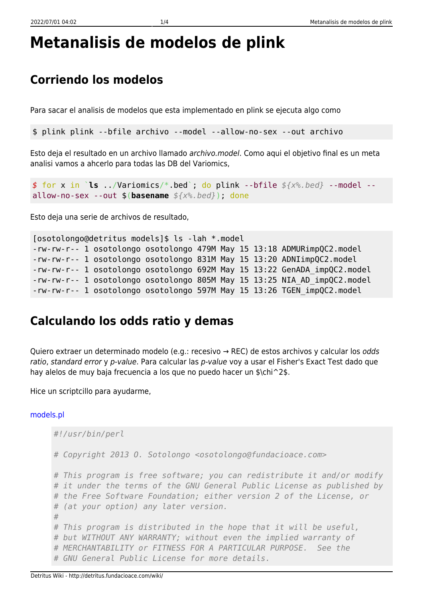# **Metanalisis de modelos de plink**

## **Corriendo los modelos**

Para sacar el analisis de modelos que esta implementado en plink se ejecuta algo como

\$ plink plink --bfile archivo --model --allow-no-sex --out archivo

Esto deja el resultado en un archivo llamado archivo.model. Como aqui el objetivo final es un meta analisi vamos a ahcerlo para todas las DB del Variomics,

*\$* for x in `**ls** ../Variomics/\*.bed`; do plink --bfile *\${x%.bed}* --model - allow-no-sex --out \$(**basename** *\${x%.bed}*); done

Esto deja una serie de archivos de resultado,

```
[osotolongo@detritus models]$ ls -lah *.model
-rw-rw-r-- 1 osotolongo osotolongo 479M May 15 13:18 ADMURimpQC2.model
-rw-rw-r-- 1 osotolongo osotolongo 831M May 15 13:20 ADNIimpQC2.model
-rw-rw-r-- 1 osotolongo osotolongo 692M May 15 13:22 GenADA_impQC2.model
-rw-rw-r-- 1 osotolongo osotolongo 805M May 15 13:25 NIA_AD_impQC2.model
-rw-rw-r-- 1 osotolongo osotolongo 597M May 15 13:26 TGEN_impQC2.model
```
### **Calculando los odds ratio y demas**

Quiero extraer un determinado modelo (e.g.: recesivo → REC) de estos archivos y calcular los *odds* ratio, standard error y p-value. Para calcular las p-value voy a usar el Fisher's Exact Test dado que hay alelos de muy baja frecuencia a los que no puedo hacer un \$\chi^2\$.

Hice un scriptcillo para ayudarme,

#### [models.pl](http://detritus.fundacioace.com/wiki/doku.php?do=export_code&id=genetica:preproc_models&codeblock=3)

```
#!/usr/bin/perl
# Copyright 2013 O. Sotolongo <osotolongo@fundacioace.com>
# This program is free software; you can redistribute it and/or modify
# it under the terms of the GNU General Public License as published by
# the Free Software Foundation; either version 2 of the License, or
# (at your option) any later version.
#
# This program is distributed in the hope that it will be useful,
# but WITHOUT ANY WARRANTY; without even the implied warranty of
# MERCHANTABILITY or FITNESS FOR A PARTICULAR PURPOSE. See the
# GNU General Public License for more details.
```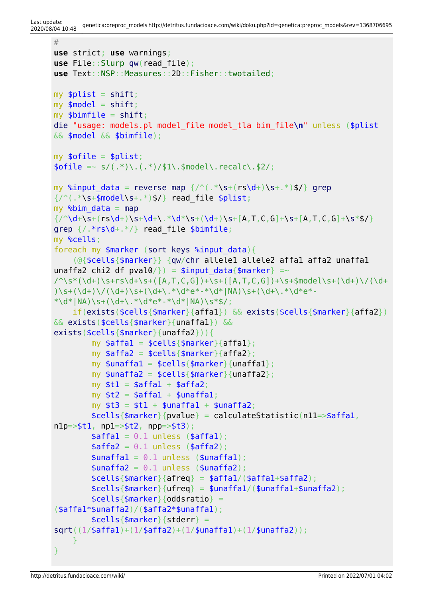```
#
use strict; use warnings;
use File::Slurp qw(read_file);
use Text::NSP::Measures::2D::Fisher::twotailed;
my shift;my shift:
mvshift;
die "usage: models.pl model_file model_tla bim_file\n" unless ($plist
&& $model && $bimfile);
my \text{ofile} = \text{split};
\text{fible} = \text{s/(}.*\text{)}. (*) \simodel\.recalc\.$2/;
reversemap \frac{7}{6}\s+\sgrep
\{\s+s+.*)$/} read file $plist;
mymap
\{\frac{\dagger}{\dagger},\dagger\}grep {/.*rs\d+.*/} read_file $bimfile;
my %cells;
(sortkeys %input data){
     (@{$cells{$marker}} {qw/chr allele1 allele2 affa1 affa2 unaffa1
unaffa2 chi2 df pval0/}) = $input data{$marker} =~
\gamma'\s*(\d+)\s+rs\d+\s+([A,T,C,G])+\s+([A,T,C,G])+\s+$model\s+(\d+)\/(\d+
)\s+(\d+)\/(\d+)\s+(\d+\.*\d*e*-*\d*|NA)\s+(\d+\.*\d*e*-
*\ddot{\text{N}} \d*|NA)\s+(\d+\.*\d*e*-*\d*|NA)\s*$/;
     if(exists($cells{$marker}{affa1}) && exists($cells{$marker}{affa2})
&& exists($cells{$marker}{unaffa1}) &&
exists($cells{$marker}{unaffa2})){
        my \$affal = \$cells{\$marker}{\$affal};my \sqrt{3} affa2 = \sqrt{3}cells{\sqrt{3}marker}{affa2};
        my $unaffal = $cells{$marker}{unaffal};
        my $unaffa2 = $ceils{$marker}{unaffa2};
        my $t1 = $affa1 + $affa2;my $t2 = $affa1 + $unaffa1;my $t3 = $t1 + $unaffal + $unaffa2;self\self\\{pvalue\} = calculateStatistic(n11=>$affal,n1p = > $t1, np1 = > $t2, npp = > $t3;
        \text{4affal} = 0.1 unless (\text{4affal});
        \text{saffa2} = 0.1 unless (\text{saffa2});
        \text{sunaffal} = 0.1 \text{ unless } (\text{sunaffal});
        \frac{1}{2} sunaffa2 = 0.1 unless (\frac{1}{2}unaffa2);
        $cells {$marker}{a}freq} = $affal/($affal+$affa2);$cells{$marker}{ufreq} = $unaffa1/($unaffa1+$unaffa2);
        $cells {$marker}{oddsratio} =($affa1*$unaffa2)/($affa2*$unaffa1);
         $cells{$marker}{stderr} =
sqrt((1/$affa1)+(1/$affa2)+(1/$unaffa1)+(1/$unaffa2));
     }
}
```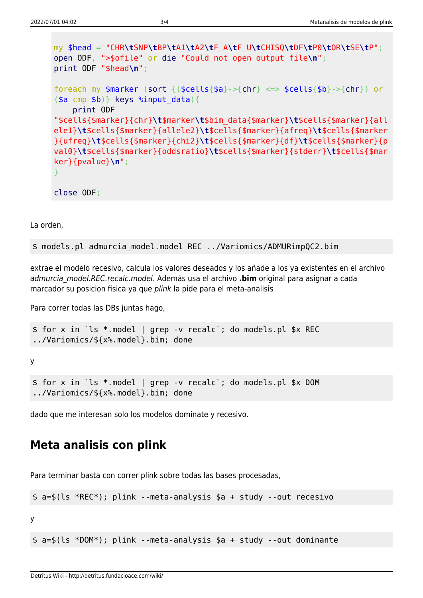```
my $head = "CHR\tSNP\tBP\tA1\tA2\tF_A\tF_U\tCHISQ\tDF\tP0\tOR\tSE\tP";
open ODF, ">$ofile" or die "Could not open output file\n";
print ODF "$head\n";
foreach my (sortchr}{chr}) or(\$a \text{ cmp } $b)keys %input data){
    print ODF
"$cells{$marker}{chr}\t$marker\t$bim_data{$marker}\t$cells{$marker}{all
ele1}\t$cells{$marker}{allele2}\t$cells{$marker}{afreq}\t$cells{$marker
}{ufreq}\t$cells{$marker}{chi2}\t$cells{$marker}{df}\t$cells{$marker}{p
val0}\t$cells{$marker}{oddsratio}\t$cells{$marker}{stderr}\t$cells{$mar
ker}{pvalue}\n";
}
close ODF;
```
La orden,

\$ models.pl admurcia\_model.model REC ../Variomics/ADMURimpQC2.bim

extrae el modelo recesivo, calcula los valores deseados y los añade a los ya existentes en el archivo admurcia\_model.REC.recalc.model. Además usa el archivo **.bim** original para asignar a cada marcador su posicion fisica ya que plink la pide para el meta-analisis

Para correr todas las DBs juntas hago,

```
$ for x in `ls *.model | grep -v recalc`; do models.pl $x REC
../Variomics/${x%.model}.bim; done
```
y

```
$ for x in `ls *.model | grep -v recalc`; do models.pl $x DOM
../Variomics/${x%.model}.bim; done
```
dado que me interesan solo los modelos dominate y recesivo.

#### **Meta analisis con plink**

Para terminar basta con correr plink sobre todas las bases procesadas,

```
$ a=$(ls *REC*); plink --meta-analysis $a + study --out recesivo
```
y

\$ a=\$(ls \*DOM\*); plink --meta-analysis \$a + study --out dominante